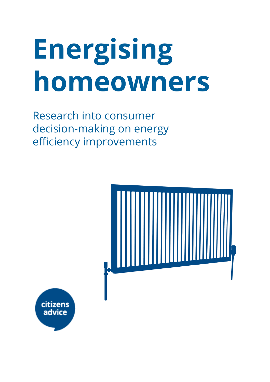# **Energising homeowners**

Research into consumer decision-making on energy efficiency improvements



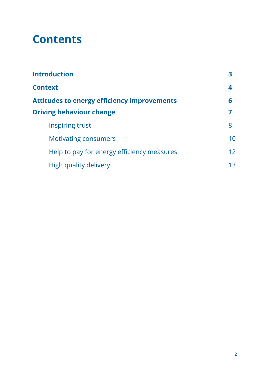## **Contents**

| <b>Introduction</b>                                |                   |
|----------------------------------------------------|-------------------|
| <b>Context</b>                                     | 4                 |
| <b>Attitudes to energy efficiency improvements</b> | 6                 |
| <b>Driving behaviour change</b>                    |                   |
| Inspiring trust                                    | 8                 |
| <b>Motivating consumers</b>                        | 10                |
| Help to pay for energy efficiency measures         | $12 \overline{ }$ |
| High quality delivery                              | 13                |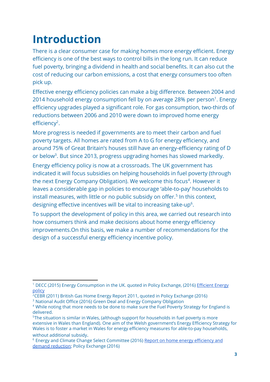# **Introduction**

There is a clear consumer case for making homes more energy efficient. Energy efficiency is one of the best ways to control bills in the long run. It can reduce fuel poverty, bringing a dividend in health and social benefits. It can also cut the cost of reducing our carbon emissions, a cost that energy consumers too often pick up.

Effective energy efficiency policies can make a big difference. Between 2004 and 2014 household energy consumption fell by on average 28% per person<sup>1</sup>. Energy efficiency upgrades played a significant role. For gas consumption, two-thirds of reductions between 2006 and 2010 were down to improved home energy efficiency<sup>2</sup>.

More progress is needed if governments are to meet their carbon and fuel poverty targets. All homes are rated from A to G for energy efficiency, and around 75% of Great Britain's houses still have an energy-efficiency rating of D or below<sup>3</sup>. But since 2013, progress upgrading homes has slowed markedly.

Energy efficiency policy is now at a crossroads. The UK government has indicated it will focus subsidies on helping households in fuel poverty (through the next Energy Company Obligation). We welcome this focus<sup>4</sup>. However it leaves a considerable gap in policies to encourage 'able-to-pay' households to install measures, with little or no public subsidy on offer.<sup>5</sup> In this context, designing effective incentives will be vital to increasing take-up<sup>6</sup>.

To support the development of policy in this area, we carried out research into how consumers think and make decisions about home energy efficiency improvements.On this basis, we make a number of recommendations for the design of a successful energy efficiency incentive policy.

<sup>&</sup>lt;sup>1</sup> DECC (2015) Energy Consumption in the UK. quoted in Policy Exchange, (2016) <u>[Efficient Energy](http://www.policyexchange.org.uk/publications/category/item/efficient-energy-policy)</u> [policy](http://www.policyexchange.org.uk/publications/category/item/efficient-energy-policy)

 $2$ CEBR (2011) British Gas Home Energy Report 2011, quoted in Policy Exchange (2016)

<sup>&</sup>lt;sup>3</sup> National Audit Office (2016) Green Deal and Energy Company Obligation

<sup>&</sup>lt;sup>4</sup> While noting that more needs to be done to make sure the Fuel Poverty Strategy for England is delivered.

<sup>5</sup>The situation is similar in Wales, (although support for households in fuel poverty is more extensive in Wales than England). One aim of the Welsh government's Energy Efficiency Strategy for Wales is to foster a market in Wales for energy efficiency measures for able-to-pay households, without additional subsidy.

<sup>&</sup>lt;sup>6</sup> Energy and Climate Change Select Committee (2016) <u>Report on home energy efficiency and</u> [demand reduction;](http://www.publications.parliament.uk/pa/cm201516/cmselect/cmenergy/552/55202.htm) Policy Exchange (2016)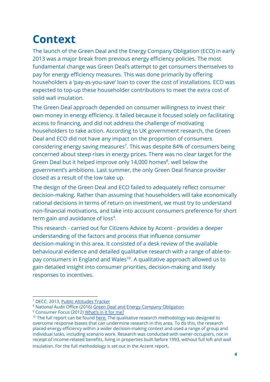# **Context**

The launch of the Green Deal and the Energy Company Obligation (ECO) in early 2013 was a major break from previous energy efficiency policies. The most fundamental change was Green Deal's attempt to get consumers themselves to pay for energy efficiency measures. This was done primarily by offering householders a 'pay-as-you-save' loan to cover the cost of installations. ECO was expected to top-up these householder contributions to meet the extra cost of solid wall insulation.

The Green Deal approach depended on consumer willingness to invest their own money in energy efficiency. It failed because it focused solely on facilitating access to financing, and did not address the challenge of motivating householders to take action. According to UK government research, the Green Deal and ECO did not have any impact on the proportion of consumers considering energy saving measures<sup>7</sup>. This was despite 84% of consumers being concerned about steep rises in energy prices. There was no clear target for the Green Deal but it helped improve only 14,000 homes<sup>8</sup>, well below the government's ambitions. Last summer, the only Green Deal finance provider closed as a result of the low take up.

The design of the Green Deal and ECO failed to adequately reflect consumer decision-making. Rather than assuming that householders will take economically rational decisions in terms of return on investment, we must try to understand non-financial motivations, and take into account consumers preference for short term gain and avoidance of loss<sup>9</sup>.

This research - carried out for Citizens Advice by Accent - provides a deeper understanding of the factors and process that influence consumer decision-making in this area. It consisted of a desk review of the available behavioural evidence and detailed qualitative research with a range of able-topay consumers in England and Wales<sup>10</sup>. A qualitative approach allowed us to gain detailed insight into consumer priorities, decision-making and likely responses to incentives.

<sup>&</sup>lt;sup>7</sup> DECC, 2013, <u>[Public Attitudes Tracker](https://www.gov.uk/government/uploads/system/uploads/attachment_data/file/254725/summary_wave_7_findings_decc_public_attitudes_tracker.pdf)</u>

<sup>&</sup>lt;sup>8</sup> National Audit Office (2016) [Green Deal and Energy Company Obligation](https://www.nao.org.uk/wp-content/uploads/2016/04/Green-Deal-and-Energy-Company-Obligation.pdf.)

<sup>&</sup>lt;sup>9</sup> Consumer Focus (2012) [What's in it for me?](http://webarchive.nationalarchives.gov.uk/20130503103454/http://www.consumerfocus.org.uk/files/2012/06/Whats-in-it-for-me-IA.pdf)

<sup>&</sup>lt;sup>10</sup> The full report can be found [here.](https://www.citizensadvice.org.uk/Global/CitizensAdvice/Energy/Driving%20Installation%20of%20Energy%20Efficiency%20Measures-%20Customer%20Research%20Findings.pdf) The qualitative research methodology was designed to overcome response biases that can undermine research in this area. To do this, the research placed energy efficiency within a wider decision-making context and used a range of group and individual tasks, including scenario work. Research was conducted with owner-occupiers, not in receipt of income-related benefits, living in properties built before 1993, without full loft and wall insulation. For the full methodology is set out in the Accent report.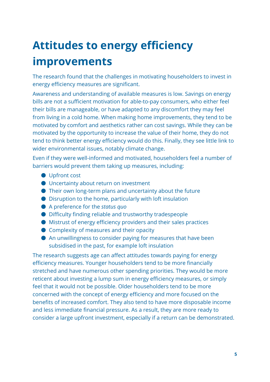# **Attitudes to energy efficiency improvements**

The research found that the challenges in motivating householders to invest in energy efficiency measures are significant.

Awareness and understanding of available measures is low. Savings on energy bills are not a sufficient motivation for able-to-pay consumers, who either feel their bills are manageable, or have adapted to any discomfort they may feel from living in a cold home. When making home improvements, they tend to be motivated by comfort and aesthetics rather can cost savings. While they can be motivated by the opportunity to increase the value of their home, they do not tend to think better energy efficiency would do this. Finally, they see little link to wider environmental issues, notably climate change.

Even if they were well-informed and motivated, householders feel a number of barriers would prevent them taking up measures, including:

- Upfront cost
- Uncertainty about return on investment
- Their own long-term plans and uncertainty about the future
- Disruption to the home, particularly with loft insulation
- A preference for the *status quo*
- Difficulty finding reliable and trustworthy tradespeople
- Mistrust of energy efficiency providers and their sales practices
- Complexity of measures and their opacity
- An unwillingness to consider paying for measures that have been subsidised in the past, for example loft insulation

The research suggests age can affect attitudes towards paying for energy efficiency measures. Younger householders tend to be more financially stretched and have numerous other spending priorities. They would be more reticent about investing a lump sum in energy efficiency measures, or simply feel that it would not be possible. Older householders tend to be more concerned with the concept of energy efficiency and more focused on the benefits of increased comfort. They also tend to have more disposable income and less immediate financial pressure. As a result, they are more ready to consider a large upfront investment, especially if a return can be demonstrated.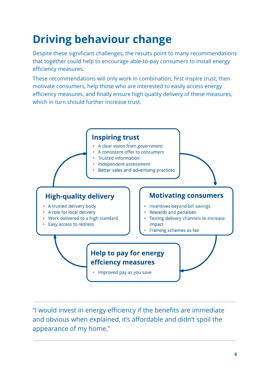# **Driving behaviour change**

Despite these significant challenges, the results point to many recommendations that together could help to encourage able-to-pay consumers to install energy efficiency measures.

These recommendations will only work in combination; first inspire trust, then motivate consumers, help those who are interested to easily access energy efficiency measures, and finally ensure high quality delivery of these measures, which in turn should further increase trust.



"I would invest in energy efficiency if the benefits are immediate and obvious when explained, it's affordable and didn't spoil the appearance of my home."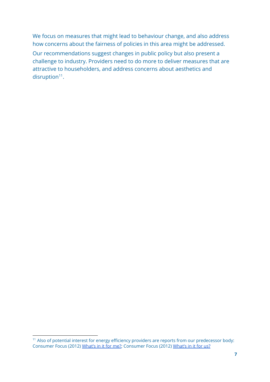We focus on measures that might lead to behaviour change, and also address how concerns about the fairness of policies in this area might be addressed.

Our recommendations suggest changes in public policy but also present a challenge to industry. Providers need to do more to deliver measures that are attractive to householders, and address concerns about aesthetics and  $disruption<sup>11</sup>$ .

<sup>&</sup>lt;sup>11</sup> Also of potential interest for energy efficiency providers are reports from our predecessor body: Consumer Focus (2012) [What's in it for me?;](http://webarchive.nationalarchives.gov.uk/20130503103454/http://www.consumerfocus.org.uk/files/2012/06/Whats-in-it-for-me-IA.pdf) Consumer Focus (2012) [What's in it for us?](http://webarchive.nationalarchives.gov.uk/20130503103454/http://www.consumerfocus.org.uk/publications/whats-in-it-for-us-learning-from-our-marketing-energy-efficiency)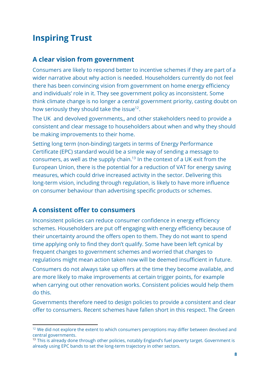## **Inspiring Trust**

#### **A clear vision from government**

Consumers are likely to respond better to incentive schemes if they are part of a wider narrative about why action is needed. Householders currently do not feel there has been convincing vision from government on home energy efficiency and individuals' role in it. They see government policy as inconsistent. Some think climate change is no longer a central government priority, casting doubt on how seriously they should take the issue<sup>12</sup>.

The UK and devolved governments,, and other stakeholders need to provide a consistent and clear message to householders about when and why they should be making improvements to their home.

Setting long term (non-binding) targets in terms of Energy Performance Certificate (EPC) standard would be a simple way of sending a message to consumers, as well as the supply chain.<sup>13</sup> In the context of a UK exit from the European Union, there is the potential for a reduction of VAT for energy saving measures, which could drive increased activity in the sector. Delivering this long-term vision, including through regulation, is likely to have more influence on consumer behaviour than advertising specific products or schemes.

#### **A consistent offer to consumers**

Inconsistent policies can reduce consumer confidence in energy efficiency schemes. Householders are put off engaging with energy efficiency because of their uncertainty around the offers open to them. They do not want to spend time applying only to find they don't qualify. Some have been left cynical by frequent changes to government schemes and worried that changes to regulations might mean action taken now will be deemed insufficient in future. Consumers do not always take up offers at the time they become available, and are more likely to make improvements at certain trigger points, for example when carrying out other renovation works. Consistent policies would help them do this.

Governments therefore need to design policies to provide a consistent and clear offer to consumers. Recent schemes have fallen short in this respect. The Green

<sup>&</sup>lt;sup>12</sup> We did not explore the extent to which consumers perceptions may differ between devolved and central governments.

<sup>&</sup>lt;sup>13</sup> This is already done through other policies, notably England's fuel poverty target. Government is already using EPC bands to set the long-term trajectory in other sectors.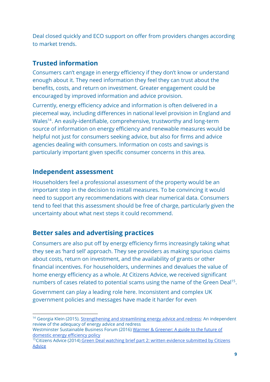Deal closed quickly and ECO support on offer from providers changes according to market trends.

#### **Trusted information**

Consumers can't engage in energy efficiency if they don't know or understand enough about it. They need information they feel they can trust about the benefits, costs, and return on investment. Greater engagement could be encouraged by improved information and advice provision.

Currently, energy efficiency advice and information is often delivered in a piecemeal way, including differences in national level provision in England and Wales<sup>14</sup>. An easily-identifiable, comprehensive, trustworthy and long-term source of information on energy efficiency and renewable measures would be helpful not just for consumers seeking advice, but also for firms and advice agencies dealing with consumers. Information on costs and savings is particularly important given specific consumer concerns in this area.

#### **Independent assessment**

Householders feel a professional assessment of the property would be an important step in the decision to install measures. To be convincing it would need to support any recommendations with clear numerical data. Consumers tend to feel that this assessment should be free of charge, particularly given the uncertainty about what next steps it could recommend.

#### **Better sales and advertising practices**

Consumers are also put off by energy efficiency firms increasingly taking what they see as 'hard sell' approach. They see providers as making spurious claims about costs, return on investment, and the availability of grants or other financial incentives. For householders, undermines and devalues the value of home energy efficiency as a whole. At Citizens Advice, we received significant numbers of cases related to potential scams using the name of the Green Deal<sup>15</sup>.

Government can play a leading role here. Inconsistent and complex UK government policies and messages have made it harder for even

<sup>&</sup>lt;sup>14</sup> Georgia Klein (2015). [Strengthening and streamlining energy advice and redress:](https://www.citizensadvice.org.uk/Global/CitizensAdvice/Energy/Strengthening%20and%20streamlining%20energy%20advice%20and%20redress%20-%20Full%20report.pdf) An independent review of the adequacy of energy advice and redress

Westminster Sustainable Business Forum (2016) [Warmer & Greener: A guide to the future of](http://www.policyconnect.org.uk/wsbf/node/761) [domestic energy efficiency policy](http://www.policyconnect.org.uk/wsbf/node/761)

<sup>&</sup>lt;sup>15</sup> Citizens Advice (2014) [Green Deal watching brief part 2: written evidence submitted by Citizens](http://data.parliament.uk/writtenevidence/committeeevidence.svc/EvidenceDocument/Energy-and-Climate-Change/Green-Deal-watching-brief-part-2/written/6169.html) [Advice](http://data.parliament.uk/writtenevidence/committeeevidence.svc/EvidenceDocument/Energy-and-Climate-Change/Green-Deal-watching-brief-part-2/written/6169.html)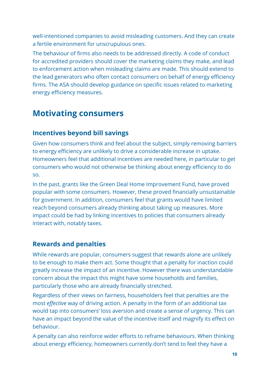well-intentioned companies to avoid misleading customers. And they can create a fertile environment for unscrupulous ones.

The behaviour of firms also needs to be addressed directly. A code of conduct for accredited providers should cover the marketing claims they make, and lead to enforcement action when misleading claims are made. This should extend to the lead generators who often contact consumers on behalf of energy efficiency firms. The ASA should develop guidance on specific issues related to marketing energy efficiency measures.

### **Motivating consumers**

#### **Incentives beyond bill savings**

Given how consumers think and feel about the subject, simply removing barriers to energy efficiency are unlikely to drive a considerable increase in uptake. Homeowners feel that additional incentives are needed here, in particular to get consumers who would not otherwise be thinking about energy efficiency to do so.

In the past, grants like the Green Deal Home Improvement Fund, have proved popular with some consumers. However, these proved financially unsustainable for government. In addition, consumers feel that grants would have limited reach beyond consumers already thinking about taking up measures. More impact could be had by linking incentives to policies that consumers already interact with, notably taxes.

#### **Rewards and penalties**

While rewards are popular, consumers suggest that rewards alone are unlikely to be enough to make them act. Some thought that a penalty for inaction could greatly increase the impact of an incentive. However there was understandable concern about the impact this might have some households and families, particularly those who are already financially stretched.

Regardless of their views on fairness, householders feel that penalties are the most *effective* way of driving action. A penalty in the form of an additional tax would tap into consumers' loss aversion and create a sense of urgency. This can have an impact beyond the value of the incentive itself and magnify its effect on behaviour.

A penalty can also reinforce wider efforts to reframe behaviours. When thinking about energy efficiency, homeowners currently don't tend to feel they have a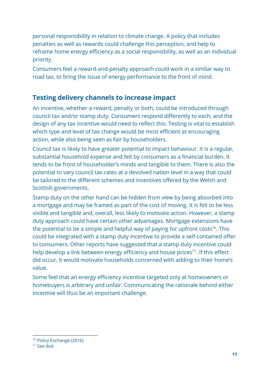personal responsibility in relation to climate change. A policy that includes penalties as well as rewards could challenge this perception, and help to reframe home energy efficiency as a social responsibility, as well as an individual priority.

Consumers feel a reward-and-penalty approach could work in a similar way to road tax, to bring the issue of energy performance to the front of mind.

#### **Testing delivery channels to increase impact**

An incentive, whether a reward, penalty or both, could be introduced through council tax and/or stamp duty. Consumers respond differently to each, and the design of any tax incentive would need to reflect this. Testing is vital to establish which type and level of tax change would be most efficient at encouraging action, while also being seen as fair by householders.

Council tax is likely to have greater potential to impact behaviour. It is a regular, substantial household expense and felt by consumers as a financial burden. It tends to be front of householder's minds and tangible to them. There is also the potential to vary council tax rates at a devolved nation level in a way that could be tailored to the different schemes and incentives offered by the Welsh and Scottish governments.

Stamp duty on the other hand can be hidden from view by being absorbed into a mortgage and may be framed as part of the cost of moving. It is felt to be less visible and tangible and, overall, less likely to motivate action. However, a stamp duty approach could have certain other advantages. Mortgage extensions have the potential to be a simple and helpful way of paying for upfront costs<sup>16</sup>. This could be integrated with a stamp duty incentive to provide a self-contained offer to consumers. Other reports have suggested that a stamp duty incentive could help develop a link between energy efficiency and house prices<sup>17</sup>. If this effect did occur, it would motivate households concerned with adding to their home's value.

Some feel that an energy efficiency incentive targeted only at homeowners or homebuyers is arbitrary and unfair. Communicating the rationale behind either incentive will thus be an important challenge.

<sup>16</sup> Policy Exchange (2016)

<sup>&</sup>lt;sup>17</sup> See ibid.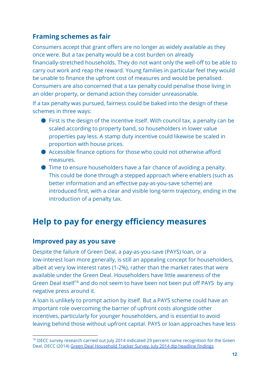#### **Framing schemes as fair**

Consumers accept that grant offers are no longer as widely available as they once were. But a tax penalty would be a cost burden on already financially-stretched households. They do not want only the well-off to be able to carry out work and reap the reward. Young families in particular feel they would be unable to finance the upfront cost of measures and would be penalised. Consumers are also concerned that a tax penalty could penalise those living in an older property, or demand action they consider unreasonable.

If a tax penalty was pursued, fairness could be baked into the design of these schemes in three ways:

- $\bullet$  First is the design of the incentive itself. With council tax, a penalty can be scaled according to property band, so householders in lower value properties pay less. A stamp duty incentive could likewise be scaled in proportion with house prices.
- Accessible finance options for those who could not otherwise afford measures.
- Time to ensure householders have a fair chance of avoiding a penalty. This could be done through a stepped approach where enablers (such as better information and an effective pay-as-you-save scheme) are introduced first, with a clear and visible long-term trajectory, ending in the introduction of a penalty tax.

## **Help to pay for energy efficiency measures**

#### **Improved pay as you save**

Despite the failure of Green Deal, a pay-as-you-save (PAYS) loan, or a low-interest loan more generally, is still an appealing concept for householders, albeit at very low interest rates (1-2%), rather than the market rates that were available under the Green Deal. Householders have little awareness of the Green Deal itself<sup>18</sup> and do not seem to have been not been put off PAYS by any negative press around it.

A loan is unlikely to prompt action by itself. But a PAYS scheme could have an important role overcoming the barrier of upfront costs alongside other incentives, particularly for younger householders, and is essential to avoid leaving behind those without upfront capital. PAYS or loan approaches have less

<sup>&</sup>lt;sup>18</sup> DECC survey research carried out July 2014 indicated 29 percent name recognition for the Green Deal. DECC (2014) [Green Deal Household Tracker Survey: July 2014 dip headline findings](https://www.gov.uk/government/publications/green-deal-household-tracker-survey-july-2014-dip-headline-findings)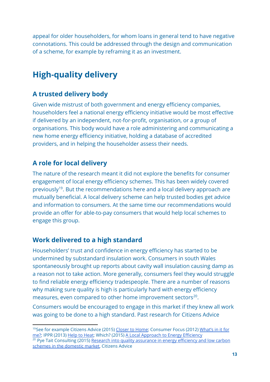appeal for older householders, for whom loans in general tend to have negative connotations. This could be addressed through the design and communication of a scheme, for example by reframing it as an investment.

## **High-quality delivery**

#### **A trusted delivery body**

Given wide mistrust of both government and energy efficiency companies, householders feel a national energy efficiency initiative would be most effective if delivered by an independent, not-for-profit, organisation, or a group of organisations. This body would have a role administering and communicating a new home energy efficiency initiative, holding a database of accredited providers, and in helping the householder assess their needs.

#### **A role for local delivery**

The nature of the research meant it did not explore the benefits for consumer engagement of local energy efficiency schemes. This has been widely covered previously<sup>19</sup>. But the recommendations here and a local delivery approach are mutually beneficial. A local delivery scheme can help trusted bodies get advice and information to consumers. At the same time our recommendations would provide an offer for able-to-pay consumers that would help local schemes to engage this group.

#### **Work delivered to a high standard**

Householders' trust and confidence in energy efficiency has started to be undermined by substandard insulation work. Consumers in south Wales spontaneously brought up reports about cavity wall insulation causing damp as a reason not to take action. More generally, consumers feel they would struggle to find reliable energy efficiency tradespeople. There are a number of reasons why making sure quality is high is particularly hard with energy efficiency measures, even compared to other home improvement sectors $20$ .

Consumers would be encouraged to engage in this market if they knew all work was going to be done to a high standard. Past research for Citizens Advice

<sup>&</sup>lt;sup>19</sup>See for example Citizens Advice (2015) [Closer to Home;](https://www.citizensadvice.org.uk/about-us/policy/policy-research-topics/energy-policy-research-and-consultation-responses/energy-policy-research/closer-to-home/) Consumer Focus (2012) [What's in it for](http://webarchive.nationalarchives.gov.uk/20130503103454/http://www.consumerfocus.org.uk/files/2012/06/Whats-in-it-for-me-IA.pdf) [me?;](http://webarchive.nationalarchives.gov.uk/20130503103454/http://www.consumerfocus.org.uk/files/2012/06/Whats-in-it-for-me-IA.pdf) IPPR (2013) [Help to Heat;](http://www.ippr.org/publications/help-to-heat-a-solution-to-the-affordability-crisis-in-energy) Which? (2015) [A Local Approach to Energy Efficiency](http://press.which.co.uk/wp-content/uploads/2015/03/EE-PDF-VERSION-FINAL-V4.pdf) <sup>20</sup> Pye Tait Consulting (2015) [Research into quality assurance in energy efficiency and low carbon](https://www.citizensadvice.org.uk/quality-assurance-in-energy-efficiency-and-low-carbon-schemes-in-the-domestic-market/) [schemes in the domestic market,](https://www.citizensadvice.org.uk/quality-assurance-in-energy-efficiency-and-low-carbon-schemes-in-the-domestic-market/) Citizens Advice